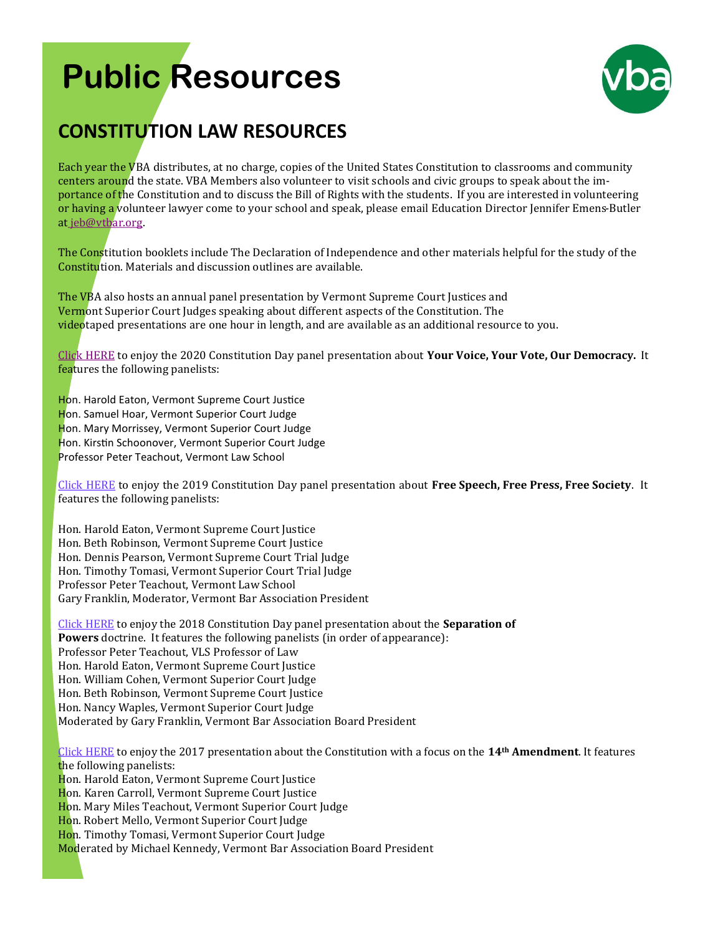## **Public Resources**



## **CONSTITUTION LAW RESOURCES**

Each year the VBA distributes, at no charge, copies of the United States Constitution to classrooms and community centers around the state. VBA Members also volunteer to visit schools and civic groups to speak about the importance of the Constitution and to discuss the Bill of Rights with the students. If you are interested in volunteering or having a volunteer lawyer come to your school and speak, please email Education Director Jennifer Emens-Butler at [jeb@vtbar.org.](mailto:jeb@vtbar.org)

The Constitution booklets include The Declaration of Independence and other materials helpful for the study of the Constitution. Materials and discussion outlines are available.

The VBA also hosts an annual panel presentation by Vermont Supreme Court Justices and Vermont Superior Court Judges speaking about different aspects of the Constitution. The videotaped presentations are one hour in length, and are available as an additional resource to you.

[Click HERE](https://drive.google.com/file/d/1WMm9YvxiBWUeQchLmD1hBA8KdOTP8REa/view?ts=5f75ded5) to enjoy the 2020 Constitution Day panel presentation about **Your Voice, Your Vote, Our Democracy.** It features the following panelists:

Hon. Harold Eaton, Vermont Supreme Court Justice Hon. Samuel Hoar, Vermont Superior Court Judge Hon. Mary Morrissey, Vermont Superior Court Judge Hon. Kirstin Schoonover, Vermont Superior Court Judge Professor Peter Teachout, Vermont Law School

[Click HERE](https://livestream.com/vermontlawschool/events/8815565/videos/196402893) to enjoy the 2019 Constitution Day panel presentation about **Free Speech, Free Press, Free Society**. It features the following panelists:

Hon. Harold Eaton, Vermont Supreme Court Justice Hon. Beth Robinson, Vermont Supreme Court Justice Hon. Dennis Pearson, Vermont Supreme Court Trial Judge Hon. Timothy Tomasi, Vermont Superior Court Trial Judge Professor Peter Teachout, Vermont Law School Gary Franklin, Moderator, Vermont Bar Association President

[Click HERE](https://vimeopro.com/user6641730/2018-vba-master-videos-constitution-day) to enjoy the 2018 Constitution Day panel presentation about the **Separation of Powers** doctrine. It features the following panelists (in order of appearance): Professor Peter Teachout, VLS Professor of Law Hon. Harold Eaton, Vermont Supreme Court Justice Hon. William Cohen, Vermont Superior Court Judge Hon. Beth Robinson, Vermont Supreme Court Justice Hon. Nancy Waples, Vermont Superior Court Judge Moderated by Gary Franklin, Vermont Bar Association Board Presiden[t](https://vimeopro.com/user6641730/vba-2017-constitution-day)

[Click HERE](https://vimeopro.com/user6641730/vba-2017-constitution-day) to enjoy the 2017 presentation about the Constitution with a focus on the **14th Amendment**. It features the following panelists: Hon. Harold Eaton, Vermont Supreme Court Justice Hon. Karen Carroll, Vermont Supreme Court Justice Hon. Mary Miles Teachout, Vermont Superior Court Judge Hon. Robert Mello, Vermont Superior Court Judge Hon. Timothy Tomasi, Vermont Superior Court Judge Moderated by Michael Kennedy, Vermont Bar Association Board President